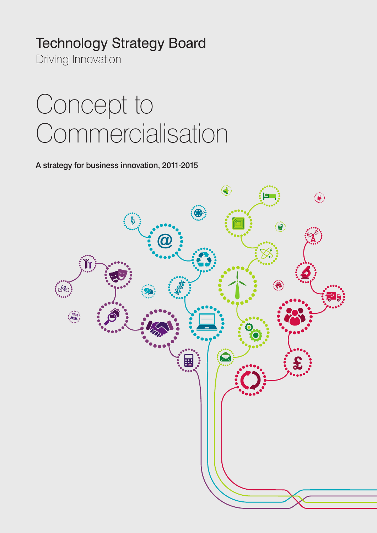# **Technology Strategy Board**

Driving Innovation

# Concept to Commercialisation

A strategy for business innovation, 2011-2015

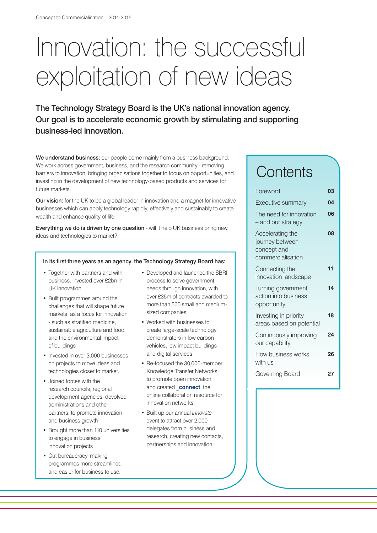# Innovation: the successful exploitation of new ideas

The Technology Strategy Board is the UK's national innovation agency. Our goal is to accelerate economic growth by stimulating and supporting business-led innovation.

We understand business; our people come mainly from a business background. We work across government, business, and the research community - removing barriers to innovation, bringing organisations together to focus on opportunities, and investing in the development of new technology-based products and services for future markets.

**Our vision:** for the UK to be a global leader in innovation and a magnet for innovative businesses which can apply technology rapidly, effectively and sustainably to create wealth and enhance quality of life.

Everything we do is driven by one question - will it help UK business bring new ideas and technologies to market?

#### In its first three years as an agency, the Technology Strategy Board has:

- Together with partners and with business, invested over £2bn in UK innovation
- Built programmes around the challenges that will shape future markets, as a focus for innovation - such as stratified medicine, sustainable agriculture and food, and the environmental impact of buildings
- Invested in over 3,000 businesses on projects to move ideas and technologies closer to market.
- Joined forces with the research councils, regional development agencies, devolved administrations and other partners, to promote innovation and business growth
- Brought more than 110 universities to engage in business innovation projects
- Cut bureaucracy, making programmes more streamlined and easier for business to use.
- Developed and launched the SBRI process to solve government needs through innovation, with over £35m of contracts awarded to more than 500 small and mediumsized companies
- Worked with businesses to create large-scale technology demonstrators in low carbon vehicles, low impact buildings and digital services
- Re-focused the 30,000-member Knowledge Transfer Networks to promote open innovation and created **connect**, the online collaboration resource for innovation networks.
- Built up our annual *Innovate* event to attract over 2,000 delegates from business and research, creating new contacts, partnerships and innovation.

# **Contents**

| Foreword                                                                | 03 |
|-------------------------------------------------------------------------|----|
| Executive summary                                                       | 04 |
| The need for innovation<br>- and our strategy                           | 06 |
| Accelerating the<br>journey between<br>concept and<br>commercialisation | 08 |
| Connecting the<br>innovation landscape                                  | 11 |
| Turning government<br>action into business<br>opportunity               | 14 |
| Investing in priority<br>areas based on potential                       | 18 |
| Continuously improving<br>our capability                                | 24 |
| How business works<br>with us                                           | 26 |
| Governing Board                                                         | 27 |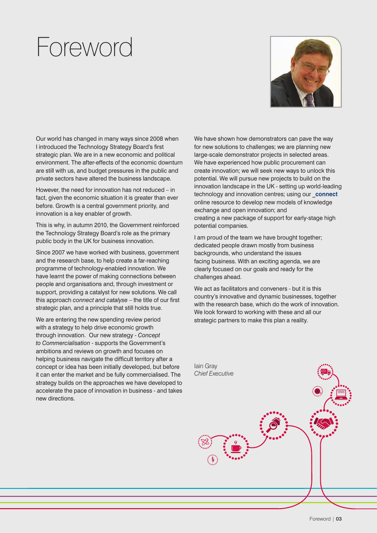# Foreword



Our world has changed in many ways since 2008 when I introduced the Technology Strategy Board's first strategic plan. We are in a new economic and political environment. The after-effects of the economic downturn are still with us, and budget pressures in the public and private sectors have altered the business landscape.

However, the need for innovation has not reduced – in fact, given the economic situation it is greater than ever before. Growth is a central government priority, and innovation is a key enabler of growth.

This is why, in autumn 2010, the Government reinforced the Technology Strategy Board's role as the primary public body in the UK for business innovation.

Since 2007 we have worked with business, government and the research base, to help create a far-reaching programme of technology-enabled innovation. We have learnt the power of making connections between people and organisations and, through investment or support, providing a catalyst for new solutions. We call this approach *connect and catalyse* – the title of our first strategic plan, and a principle that still holds true.

We are entering the new spending review period with a strategy to help drive economic growth through innovation. Our new strategy - *Concept to Commercialisation* - supports the Government's ambitions and reviews on growth and focuses on helping business navigate the difficult territory after a concept or idea has been initially developed, but before it can enter the market and be fully commercialised. The strategy builds on the approaches we have developed to accelerate the pace of innovation in business - and takes new directions.

We have shown how demonstrators can pave the way for new solutions to challenges; we are planning new large-scale demonstrator projects in selected areas. We have experienced how public procurement can create innovation; we will seek new ways to unlock this potential. We will pursue new projects to build on the innovation landscape in the UK - setting up world-leading technology and innovation centres; using our **connect** online resource to develop new models of knowledge exchange and open innovation; and creating a new package of support for early-stage high potential companies.

I am proud of the team we have brought together; dedicated people drawn mostly from business backgrounds, who understand the issues facing business. With an exciting agenda, we are clearly focused on our goals and ready for the challenges ahead.

We act as facilitators and conveners - but it is this country's innovative and dynamic businesses, together with the research base, which do the work of innovation. We look forward to working with these and all our strategic partners to make this plan a reality.

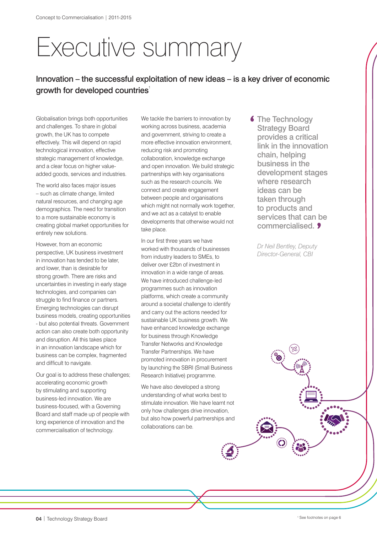# Executive summary

# Innovation – the successful exploitation of new ideas – is a key driver of economic growth for developed countries<sup>1</sup>

Globalisation brings both opportunities and challenges. To share in global growth, the UK has to compete effectively. This will depend on rapid technological innovation, effective strategic management of knowledge, and a clear focus on higher valueadded goods, services and industries.

The world also faces major issues – such as climate change, limited natural resources, and changing age demographics. The need for transition to a more sustainable economy is creating global market opportunities for entirely new solutions.

However, from an economic perspective, UK business investment in innovation has tended to be later, and lower, than is desirable for strong growth. There are risks and uncertainties in investing in early stage technologies, and companies can struggle to find finance or partners. Emerging technologies can disrupt business models, creating opportunities - but also potential threats. Government action can also create both opportunity and disruption. All this takes place in an innovation landscape which for business can be complex, fragmented and difficult to navigate.

Our goal is to address these challenges; accelerating economic growth by stimulating and supporting business-led innovation. We are business-focused, with a Governing Board and staff made up of people with long experience of innovation and the commercialisation of technology.

We tackle the barriers to innovation by working across business, academia and government, striving to create a more effective innovation environment, reducing risk and promoting collaboration, knowledge exchange and open innovation. We build strategic partnerships with key organisations such as the research councils. We connect and create engagement between people and organisations which might not normally work together, and we act as a catalyst to enable developments that otherwise would not take place.

In our first three years we have worked with thousands of businesses from industry leaders to SMEs, to deliver over £2bn of investment in innovation in a wide range of areas. We have introduced challenge-led programmes such as innovation platforms, which create a community around a societal challenge to identify and carry out the actions needed for sustainable UK business growth. We have enhanced knowledge exchange for business through Knowledge Transfer Networks and Knowledge Transfer Partnerships. We have promoted innovation in procurement by launching the SBRI (Small Business Research Initiative) programme.

We have also developed a strong understanding of what works best to stimulate innovation. We have learnt not only how challenges drive innovation, but also how powerful partnerships and collaborations can be.

**6 The Technology** Strategy Board provides a critical link in the innovation chain, helping business in the development stages where research ideas can be taken through to products and services that can be commercialised. 9

*Dr Neil Bentley, Deputy Director-General, CBI*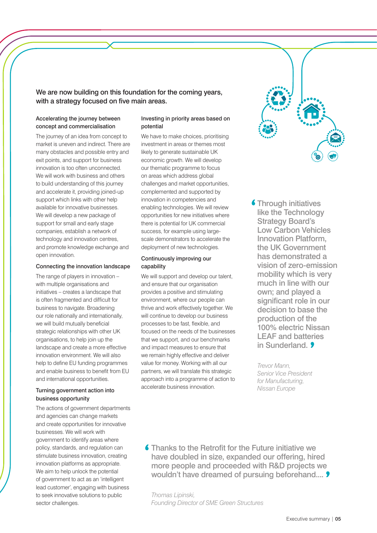We are now building on this foundation for the coming years, with a strategy focused on five main areas.

#### Accelerating the journey between concept and commercialisation

The journey of an idea from concept to market is uneven and indirect. There are many obstacles and possible entry and exit points, and support for business innovation is too often unconnected. We will work with business and others to build understanding of this journey and accelerate it, providing joined-up support which links with other help available for innovative businesses. We will develop a new package of support for small and early stage companies, establish a network of technology and innovation centres, and promote knowledge exchange and open innovation.

#### Connecting the innovation landscape

The range of players in innovation – with multiple organisations and initiatives – creates a landscape that is often fragmented and difficult for business to navigate. Broadening our role nationally and internationally, we will build mutually beneficial strategic relationships with other UK organisations, to help join up the landscape and create a more effective innovation environment. We will also help to define EU funding programmes and enable business to benefit from EU and international opportunities.

#### Turning government action into business opportunity

The actions of government departments and agencies can change markets and create opportunities for innovative businesses. We will work with government to identify areas where policy, standards, and regulation can stimulate business innovation, creating innovation platforms as appropriate. We aim to help unlock the potential of government to act as an 'intelligent lead customer', engaging with business to seek innovative solutions to public sector challenges.

#### Investing in priority areas based on potential

We have to make choices, prioritising investment in areas or themes most likely to generate sustainable UK economic growth. We will develop our thematic programme to focus on areas which address global challenges and market opportunities, complemented and supported by innovation in competencies and enabling technologies. We will review opportunities for new initiatives where there is potential for UK commercial success, for example using largescale demonstrators to accelerate the deployment of new technologies.

#### Continuously improving our capability

We will support and develop our talent, and ensure that our organisation provides a positive and stimulating environment, where our people can thrive and work effectively together. We will continue to develop our business processes to be fast, flexible, and focused on the needs of the businesses that we support, and our benchmarks and impact measures to ensure that we remain highly effective and deliver value for money. Working with all our partners, we will translate this strategic approach into a programme of action to accelerate business innovation.

**6 Through initiatives** like the Technology Strategy Board's Low Carbon Vehicles Innovation Platform, the UK Government has demonstrated a vision of zero-emission mobility which is very much in line with our own; and played a significant role in our decision to base the production of the 100% electric Nissan LEAF and batteries in Sunderland 9

*Trevor Mann, Senior Vice President for Manufacturing, Nissan Europe*

**6** Thanks to the Retrofit for the Future initiative we have doubled in size, expanded our offering, hired more people and proceeded with R&D projects we wouldn't have dreamed of pursuing beforehand.... **9** 

*Thomas Lipinski, Founding Director of SME Green Structures*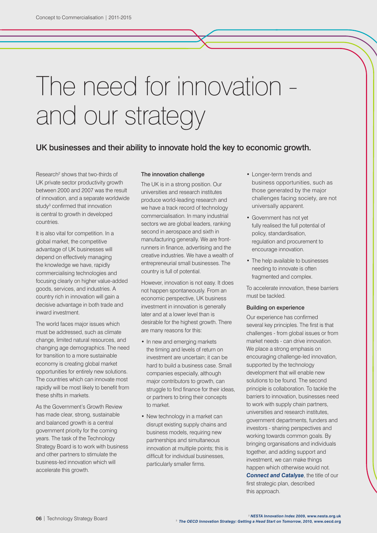# The need for innovation and our strategy

### UK businesses and their ability to innovate hold the key to economic growth.

Research<sup>2</sup> shows that two-thirds of UK private sector productivity growth between 2000 and 2007 was the result of innovation, and a separate worldwide study<sup>3</sup> confirmed that innovation is central to growth in developed countries.

It is also vital for competition. In a global market, the competitive advantage of UK businesses will depend on effectively managing the knowledge we have, rapidly commercialising technologies and focusing clearly on higher value-added goods, services, and industries. A country rich in innovation will gain a decisive advantage in both trade and inward investment.

The world faces major issues which must be addressed, such as climate change, limited natural resources, and changing age demographics. The need for transition to a more sustainable economy is creating global market opportunities for entirely new solutions. The countries which can innovate most rapidly will be most likely to benefit from these shifts in markets.

As the Government's Growth Review has made clear, strong, sustainable and balanced growth is a central government priority for the coming years. The task of the Technology Strategy Board is to work with business and other partners to stimulate the business-led innovation which will accelerate this growth.

#### The innovation challenge

The UK is in a strong position. Our universities and research institutes produce world-leading research and we have a track record of technology commercialisation. In many industrial sectors we are global leaders, ranking second in aerospace and sixth in manufacturing generally. We are frontrunners in finance, advertising and the creative industries. We have a wealth of entrepreneurial small businesses. The country is full of potential.

However, innovation is not easy. It does not happen spontaneously. From an economic perspective, UK business investment in innovation is generally later and at a lower level than is desirable for the highest growth. There are many reasons for this:

- In new and emerging markets the timing and levels of return on investment are uncertain; it can be hard to build a business case. Small companies especially, although major contributors to growth, can struggle to find finance for their ideas. or partners to bring their concepts to market.
- New technology in a market can disrupt existing supply chains and business models, requiring new partnerships and simultaneous innovation at multiple points; this is difficult for individual businesses, particularly smaller firms.
- Longer-term trends and business opportunities, such as those generated by the major challenges facing society, are not universally apparent.
- Government has not yet fully realised the full potential of policy, standardisation, regulation and procurement to encourage innovation.
- The help available to businesses needing to innovate is often fragmented and complex.

To accelerate innovation, these barriers must be tackled.

#### Building on experience

Our experience has confirmed several key principles. The first is that challenges - from global issues or from market needs - can drive innovation. We place a strong emphasis on encouraging challenge-led innovation, supported by the technology development that will enable new solutions to be found. The second principle is collaboration. To tackle the barriers to innovation, businesses need to work with supply chain partners, universities and research institutes, government departments, funders and investors - sharing perspectives and working towards common goals. By bringing organisations and individuals together, and adding support and investment, we can make things happen which otherwise would not. **[Connect and Catalyse](http://www.innovateuk.org/_assets/pdf/Corporate-Publications/Technology Strategy Board - Connect and Catalyse.pdf)**, the title of our first strategic plan, described this approach.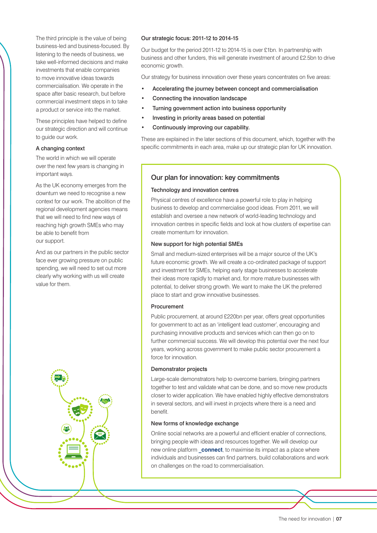The third principle is the value of being business-led and business-focused. By listening to the needs of business, we take well-informed decisions and make investments that enable companies to move innovative ideas towards commercialisation. We operate in the space after basic research, but before commercial investment steps in to take a product or service into the market.

These principles have helped to define our strategic direction and will continue to guide our work.

#### A changing context

The world in which we will operate over the next few years is changing in important ways.

As the UK economy emerges from the downturn we need to recognise a new context for our work. The abolition of the regional development agencies means that we will need to find new ways of reaching high growth SMEs who may be able to benefit from our support.

And as our partners in the public sector face ever growing pressure on public spending, we will need to set out more clearly why working with us will create value for them.



#### Our strategic focus: 2011-12 to 2014-15

Our budget for the period 2011-12 to 2014-15 is over £1bn. In partnership with business and other funders, this will generate investment of around £2.5bn to drive economic growth.

Our strategy for business innovation over these years concentrates on five areas:

- Accelerating the journey between concept and commercialisation
- Connecting the innovation landscape
- Turning government action into business opportunity
- Investing in priority areas based on potential
- Continuously improving our capability.

These are explained in the later sections of this document, which, together with the specific commitments in each area, make up our strategic plan for UK innovation.

#### Our plan for innovation: key commitments

#### Technology and innovation centres

Physical centres of excellence have a powerful role to play in helping business to develop and commercialise good ideas. From 2011, we will establish and oversee a new network of world-leading technology and innovation centres in specific fields and look at how clusters of expertise can create momentum for innovation.

#### New support for high potential SMEs

Small and medium-sized enterprises will be a major source of the UK's future economic growth. We will create a co-ordinated package of support and investment for SMEs, helping early stage businesses to accelerate their ideas more rapidly to market and, for more mature businesses with potential, to deliver strong growth. We want to make the UK the preferred place to start and grow innovative businesses.

#### Procurement

Public procurement, at around £220bn per year, offers great opportunities for government to act as an 'intelligent lead customer', encouraging and purchasing innovative products and services which can then go on to further commercial success. We will develop this potential over the next four years, working across government to make public sector procurement a force for innovation.

#### Demonstrator projects

Large-scale demonstrators help to overcome barriers, bringing partners together to test and validate what can be done, and so move new products closer to wider application. We have enabled highly effective demonstrators in several sectors, and will invest in projects where there is a need and benefit.

#### New forms of knowledge exchange

Online social networks are a powerful and efficient enabler of connections, bringing people with ideas and resources together. We will develop our new online platform **connect**, to maximise its impact as a place where individuals and businesses can find partners, build collaborations and work on challenges on the road to commercialisation.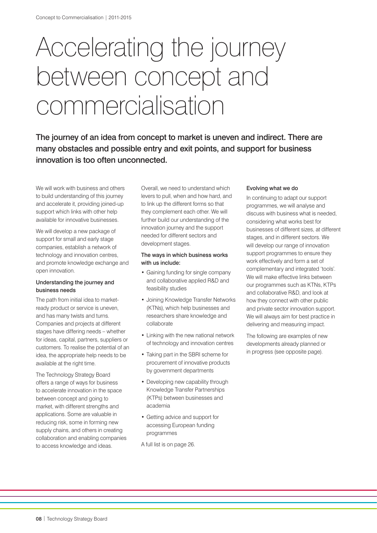# Accelerating the journey between concept and commercialisation

The journey of an idea from concept to market is uneven and indirect. There are many obstacles and possible entry and exit points, and support for business innovation is too often unconnected.

We will work with business and others to build understanding of this journey and accelerate it, providing joined-up support which links with other help available for innovative businesses.

We will develop a new package of support for small and early stage companies, establish a network of technology and innovation centres, and promote knowledge exchange and open innovation.

#### Understanding the journey and business needs

The path from initial idea to marketready product or service is uneven, and has many twists and turns. Companies and projects at different stages have differing needs – whether for ideas, capital, partners, suppliers or customers. To realise the potential of an idea, the appropriate help needs to be available at the right time.

The Technology Strategy Board offers a range of ways for business to accelerate innovation in the space between concept and going to market, with different strengths and applications. Some are valuable in reducing risk, some in forming new supply chains, and others in creating collaboration and enabling companies to access knowledge and ideas.

Overall, we need to understand which levers to pull, when and how hard, and to link up the different forms so that they complement each other. We will further build our understanding of the innovation journey and the support needed for different sectors and development stages.

#### The ways in which business works with us include:

- Gaining funding for single company and collaborative applied R&D and feasibility studies
- Joining Knowledge Transfer Networks (KTNs), which help businesses and researchers share knowledge and collaborate
- Linking with the new national network of technology and innovation centres
- Taking part in the SBRI scheme for procurement of innovative products by government departments
- Developing new capability through Knowledge Transfer Partnerships (KTPs) between businesses and academia
- Getting advice and support for accessing European funding programmes
- A full list is on page 26.

#### Evolving what we do

In continuing to adapt our support programmes, we will analyse and discuss with business what is needed, considering what works best for businesses of different sizes, at different stages, and in different sectors. We will develop our range of innovation support programmes to ensure they work effectively and form a set of complementary and integrated 'tools'. We will make effective links between our programmes such as KTNs, KTPs and collaborative R&D, and look at how they connect with other public and private sector innovation support. We will always aim for best practice in delivering and measuring impact.

The following are examples of new developments already planned or in progress (see opposite page).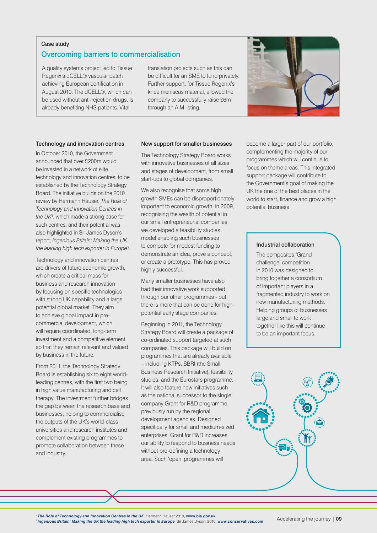#### Case study

### Overcoming barriers to commercialisation

A quality systems project led to Tissue Regenix's dCELL® vascular patch achieving European certification in August 2010. The dCELL®, which can be used without anti-rejection drugs, is already benefiting NHS patients. Vital

translation projects such as this can be difficult for an SME to fund privately. Further support, for Tissue Regenix's knee meniscus material, allowed the company to successfully raise £6m through an AIM listing.



#### Technology and innovation centres

In October 2010, the Government announced that over £200m would be invested in a network of elite technology and innovation centres, to be established by the Technology Strategy Board. The initiative builds on the 2010 review by Hermann Hauser, *The Role of Technology and Innovation Centres in the UK*<sup>4</sup> , which made a strong case for such centres, and their potential was also highlighted in Sir James Dyson's report, *Ingenious Britain: Making the UK the leading high tech exporter in Europe*<sup>5</sup> .

Technology and innovation centres are drivers of future economic growth, which create a critical mass for business and research innovation by focusing on specific technologies with strong UK capability and a large potential global market. They aim to achieve global impact in precommercial development, which will require coordinated, long-term investment and a competitive element so that they remain relevant and valued by business in the future.

From 2011, the Technology Strategy Board is establishing six to eight worldleading centres, with the first two being in high value manufacturing and cell therapy. The investment further bridges the gap between the research base and businesses, helping to commercialise the outputs of the UK's world-class universities and research institutes and complement existing programmes to promote collaboration between these and industry.

#### New support for smaller businesses

The Technology Strategy Board works with innovative businesses of all sizes and stages of development, from small start-ups to global companies.

We also recognise that some high growth SMEs can be disproportionately important to economic growth. In 2009, recognising the wealth of potential in our small entrepreneurial companies, we developed a feasibility studies model enabling such businesses to compete for modest funding to demonstrate an idea, prove a concept, or create a prototype. This has proved highly successful.

Many smaller businesses have also had their innovative work supported through our other programmes - but there is more that can be done for highpotential early stage companies.

Beginning in 2011, the Technology Strategy Board will create a package of co-ordinated support targeted at such companies. This package will build on programmes that are already available – including KTPs, SBRI (the Small Business Research Initiative), feasibility studies, and the Eurostars programme. It will also feature new initiatives such as the national successor to the single company Grant for R&D programme, previously run by the regional development agencies. Designed specifically for small and medium-sized enterprises, Grant for R&D increases our ability to respond to business needs without pre-defining a technology area. Such 'open' programmes will

become a larger part of our portfolio, complementing the majority of our programmes which will continue to focus on theme areas. This integrated support package will contribute to the Government's goal of making the UK the one of the best places in the world to start, finance and grow a high potential business

#### Industrial collaboration

The composites 'Grand challenge' competition in 2010 was designed to bring together a consortium of important players in a fragmented industry to work on new manufacturing methods. Helping groups of businesses large and small to work together like this will continue to be an important focus.



<sup>4</sup> *[The Role of Technology and Innovation Centres in the UK](http://www.bis.gov.uk/assets/biscore/innovation/docs/10-843-role-of-technology-innovation-centres-hauser-review),* Hermann Hauser 2010, **[www.bis.gov.uk](http://www.bis.gov.uk/)** <sup>5</sup>*[Ingenious Britain: Making the UK the leading high tech exporter in Europe](http://www.conservatives.com/~/media/Files/Downloadable%20Files/Ingenious%20Britain.ashx?dl=true),* Sir James Dyson, 2010, **[www.conservatives.com](http://www.conservatives.com/)**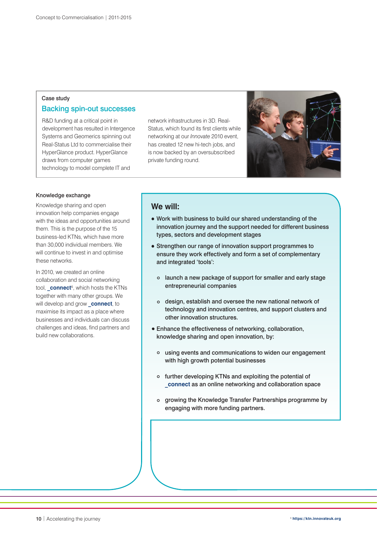### Case study Backing spin-out successes

R&D funding at a critical point in development has resulted in Intergence Systems and Geomerics spinning out Real-Status Ltd to commercialise their HyperGlance product. HyperGlance draws from computer games technology to model complete IT and

network infrastructures in 3D. Real-Status, which found its first clients while networking at our *Innovate* 2010 event, has created 12 new hi-tech jobs, and is now backed by an oversubscribed private funding round.



#### Knowledge exchange

Knowledge sharing and open innovation help companies engage with the ideas and opportunities around them. This is the purpose of the 15 business-led KTNs, which have more than 30,000 individual members. We will continue to invest in and optimise these networks.

In 2010, we created an online collaboration and social networking tool, **[\\_connect](https://ktn.innovateuk.org/web/guest;jsessionid=AB4EDD3AD711231C91D019D0065109D3.9OphEwv4)**<sup>6</sup> , which hosts the KTNs together with many other groups. We will develop and grow **connect**, to maximise its impact as a place where businesses and individuals can discuss challenges and ideas, find partners and build new collaborations.

### **We will:**

- Work with business to build our shared understanding of the innovation journey and the support needed for different business types, sectors and development stages
- Strengthen our range of innovation support programmes to ensure they work effectively and form a set of complementary and integrated 'tools':
	- o launch a new package of support for smaller and early stage entrepreneurial companies
	- design, establish and oversee the new national network of technology and innovation centres, and support clusters and other innovation structures.
- Enhance the effectiveness of networking, collaboration, knowledge sharing and open innovation, by:
	- using events and communications to widen our engagement with high growth potential businesses
	- further developing KTNs and exploiting the potential of **[\\_connect](https://ktn.innovateuk.org/web/guest;jsessionid=AB4EDD3AD711231C91D019D0065109D3.9OphEwv4)** as an online networking and collaboration space
	- o growing the Knowledge Transfer Partnerships programme by engaging with more funding partners.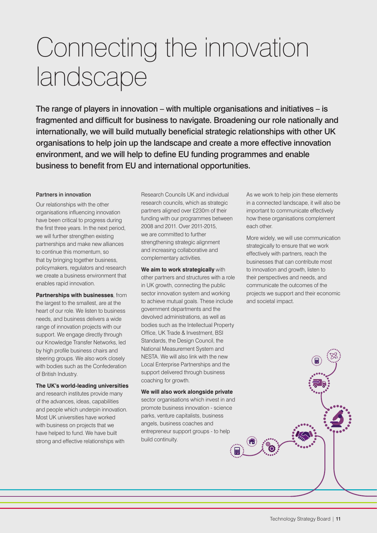# Connecting the innovation landscape

The range of players in innovation – with multiple organisations and initiatives – is fragmented and difficult for business to navigate. Broadening our role nationally and internationally, we will build mutually beneficial strategic relationships with other UK organisations to help join up the landscape and create a more effective innovation environment, and we will help to define EU funding programmes and enable business to benefit from EU and international opportunities.

#### Partners in innovation

Our relationships with the other organisations influencing innovation have been critical to progress during the first three years. In the next period, we will further strengthen existing partnerships and make new alliances to continue this momentum, so that by bringing together business, policymakers, regulators and research we create a business environment that enables rapid innovation.

**Partnerships with businesses**, from the largest to the smallest, are at the heart of our role. We listen to business needs, and business delivers a wide range of innovation projects with our support. We engage directly through our Knowledge Transfer Networks, led by high profile business chairs and steering groups. We also work closely with bodies such as the Confederation of British Industry.

#### **The UK's world-leading universities**

and research institutes provide many of the advances, ideas, capabilities and people which underpin innovation. Most UK universities have worked with business on projects that we have helped to fund. We have built strong and effective relationships with

Research Councils UK and individual research councils, which as strategic partners aligned over £230m of their funding with our programmes between 2008 and 2011. Over 2011-2015, we are committed to further strengthening strategic alignment and increasing collaborative and complementary activities.

**We aim to work strategically** with other partners and structures with a role in UK growth, connecting the public sector innovation system and working to achieve mutual goals. These include government departments and the devolved administrations, as well as bodies such as the Intellectual Property Office, UK Trade & Investment, BSI Standards, the Design Council, the National Measurement System and NESTA. We will also link with the new Local Enterprise Partnerships and the support delivered through business coaching for growth.

**We will also work alongside private** sector organisations which invest in and promote business innovation - science parks, venture capitalists, business angels, business coaches and entrepreneur support groups - to help build continuity.

圜

As we work to help join these elements in a connected landscape, it will also be important to communicate effectively how these organisations complement each other.

More widely, we will use communication strategically to ensure that we work effectively with partners, reach the businesses that can contribute most to innovation and growth, listen to their perspectives and needs, and communicate the outcomes of the projects we support and their economic and societal impact.

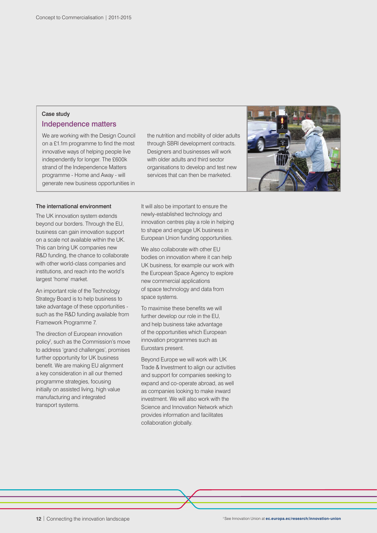### Case study

### Independence matters

We are working with the Design Council on a £1.1m programme to find the most innovative ways of helping people live independently for longer. The £600k strand of the Independence Matters programme - Home and Away - will generate new business opportunities in

the nutrition and mobility of older adults through SBRI development contracts. Designers and businesses will work with older adults and third sector organisations to develop and test new services that can then be marketed.



#### The international environment

The UK innovation system extends beyond our borders. Through the EU, business can gain innovation support on a scale not available within the UK. This can bring UK companies new R&D funding, the chance to collaborate with other world-class companies and institutions, and reach into the world's largest 'home' market.

An important role of the Technology Strategy Board is to help business to take advantage of these opportunities such as the R&D funding available from Framework Programme 7.

The direction of European innovation policy<sup>7</sup>, such as the Commission's move to address 'grand challenges', promises further opportunity for UK business benefit. We are making EU alignment a key consideration in all our themed programme strategies, focusing initially on assisted living, high value manufacturing and integrated transport systems.

It will also be important to ensure the newly-established technology and innovation centres play a role in helping to shape and engage UK business in European Union funding opportunities.

We also collaborate with other EU bodies on innovation where it can help UK business, for example our work with the European Space Agency to explore new commercial applications of space technology and data from space systems.

To maximise these benefits we will further develop our role in the EU, and help business take advantage of the opportunities which European innovation programmes such as Eurostars present.

Beyond Europe we will work with UK Trade & Investment to align our activities and support for companies seeking to expand and co-operate abroad, as well as companies looking to make inward investment. We will also work with the Science and Innovation Network which provides information and facilitates collaboration globally.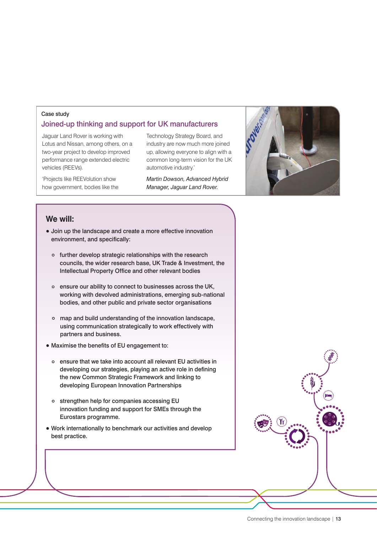#### Case study

## Joined-up thinking and support for UK manufacturers

Jaguar Land Rover is working with Lotus and Nissan, among others, on a two-year project to develop improved performance range extended electric vehicles (REEVs).

'Projects like REEVolution show how government, bodies like the Technology Strategy Board, and industry are now much more joined up, allowing everyone to align with a common long-term vision for the UK automotive industry.'

*Martin Dowson, Advanced Hybrid Manager, Jaguar Land Rover.*



# **We will:**

- Join up the landscape and create a more effective innovation environment, and specifically:
	- o further develop strategic relationships with the research councils, the wider research base, UK Trade & Investment, the Intellectual Property Office and other relevant bodies
	- ensure our ability to connect to businesses across the UK, working with devolved administrations, emerging sub-national bodies, and other public and private sector organisations
	- map and build understanding of the innovation landscape, using communication strategically to work effectively with partners and business.
- Maximise the benefits of EU engagement to:
	- ensure that we take into account all relevant EU activities in developing our strategies, playing an active role in defining the new Common Strategic Framework and linking to developing European Innovation Partnerships
	- o strengthen help for companies accessing EU innovation funding and support for SMEs through the Eurostars programme.
- Work internationally to benchmark our activities and develop best practice.

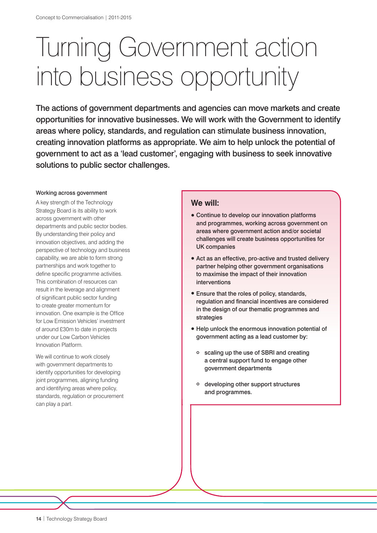# Turning Government action into business opportunity

The actions of government departments and agencies can move markets and create opportunities for innovative businesses. We will work with the Government to identify areas where policy, standards, and regulation can stimulate business innovation, creating innovation platforms as appropriate. We aim to help unlock the potential of government to act as a 'lead customer', engaging with business to seek innovative solutions to public sector challenges.

#### Working across government

A key strength of the Technology Strategy Board is its ability to work across government with other departments and public sector bodies. By understanding their policy and innovation objectives, and adding the perspective of technology and business capability, we are able to form strong partnerships and work together to define specific programme activities. This combination of resources can result in the leverage and alignment of significant public sector funding to create greater momentum for innovation. One example is the Office for Low Emission Vehicles' investment of around £30m to date in projects under our Low Carbon Vehicles Innovation Platform.

We will continue to work closely with government departments to identify opportunities for developing joint programmes, aligning funding and identifying areas where policy, standards, regulation or procurement can play a part.

### **We will:**

- Continue to develop our innovation platforms and programmes, working across government on areas where government action and/or societal challenges will create business opportunities for UK companies
- Act as an effective, pro-active and trusted delivery partner helping other government organisations to maximise the impact of their innovation interventions
- Ensure that the roles of policy, standards, regulation and financial incentives are considered in the design of our thematic programmes and strategies
- Help unlock the enormous innovation potential of government acting as a lead customer by:
	- scaling up the use of SBRI and creating a central support fund to engage other government departments
	- developing other support structures and programmes.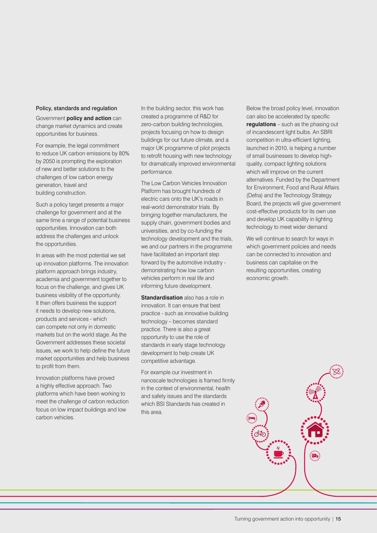#### Policy, standards and regulation

Government **policy and action** can change market dynamics and create opportunities for business.

For example, the legal commitment to reduce UK carbon emissions by 80% by 2050 is prompting the exploration of new and better solutions to the challenges of low carbon energy generation, travel and building construction.

Such a policy target presents a major challenge for government and at the same time a range of potential business opportunities. Innovation can both address the challenges and unlock the opportunities.

In areas with the most potential we set up innovation platforms. The innovation platform approach brings industry, academia and government together to focus on the challenge, and gives UK business visibility of the opportunity. It then offers business the support it needs to develop new solutions, products and services - which can compete not only in domestic markets but on the world stage. As the Government addresses these societal issues, we work to help define the future market opportunities and help business to profit from them.

Innovation platforms have proved a highly effective approach. Two platforms which have been working to meet the challenge of carbon reduction focus on low impact buildings and low carbon vehicles.

In the building sector, this work has created a programme of R&D for zero-carbon building technologies, projects focusing on how to design buildings for our future climate, and a major UK programme of pilot projects to retrofit housing with new technology for dramatically improved environmental performance.

The Low Carbon Vehicles Innovation Platform has brought hundreds of electric cars onto the UK's roads in real-world demonstrator trials. By bringing together manufacturers, the supply chain, government bodies and universities, and by co-funding the technology development and the trials, we and our partners in the programme have facilitated an important step forward by the automotive industry demonstrating how low carbon vehicles perform in real life and informing future development.

**Standardisation** also has a role in innovation. It can ensure that best practice - such as innovative building technology – becomes standard practice. There is also a great opportunity to use the role of standards in early stage technology development to help create UK competitive advantage.

For example our investment in nanoscale technologies is framed firmly in the context of environmental, health and safety issues and the standards which BSI Standards has created in this area.

Below the broad policy level, innovation can also be accelerated by specific **regulations** – such as the phasing out of incandescent light bulbs. An SBRI competition in ultra-efficient lighting, launched in 2010, is helping a number of small businesses to develop highquality, compact lighting solutions which will improve on the current alternatives. Funded by the Department for Environment, Food and Rural Affairs (Defra) and the Technology Strategy Board, the projects will give government cost-effective products for its own use and develop UK capability in lighting technology to meet wider demand.

We will continue to search for ways in which government policies and needs can be connected to innovation and business can capitalise on the resulting opportunities, creating economic growth.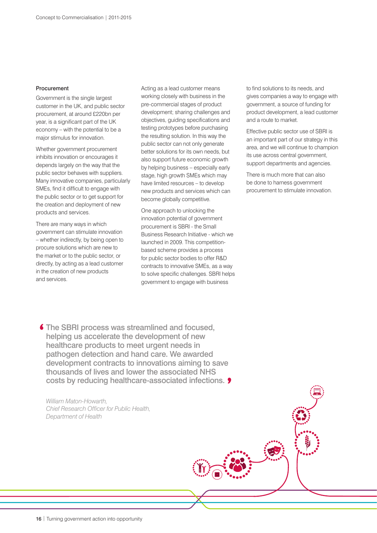#### Procurement

Government is the single largest customer in the UK, and public sector procurement, at around £220bn per year, is a significant part of the UK economy – with the potential to be a major stimulus for innovation.

Whether government procurement inhibits innovation or encourages it depends largely on the way that the public sector behaves with suppliers. Many innovative companies, particularly SMEs, find it difficult to engage with the public sector or to get support for the creation and deployment of new products and services.

There are many ways in which government can stimulate innovation – whether indirectly, by being open to procure solutions which are new to the market or to the public sector, or directly, by acting as a lead customer in the creation of new products and services.

Acting as a lead customer means working closely with business in the pre-commercial stages of product development; sharing challenges and objectives, guiding specifications and testing prototypes before purchasing the resulting solution. In this way the public sector can not only generate better solutions for its own needs, but also support future economic growth by helping business – especially early stage, high growth SMEs which may have limited resources – to develop new products and services which can become globally competitive.

One approach to unlocking the innovation potential of government procurement is SBRI - the Small Business Research Initiative - which we launched in 2009. This competitionbased scheme provides a process for public sector bodies to offer R&D contracts to innovative SMEs, as a way to solve specific challenges. SBRI helps government to engage with business

to find solutions to its needs, and gives companies a way to engage with government, a source of funding for product development, a lead customer and a route to market.

Effective public sector use of SBRI is an important part of our strategy in this area, and we will continue to champion its use across central government, support departments and agencies.

There is much more that can also be done to harness government procurement to stimulate innovation.

**6** The SBRI process was streamlined and focused, helping us accelerate the development of new healthcare products to meet urgent needs in pathogen detection and hand care. We awarded development contracts to innovations aiming to save thousands of lives and lower the associated NHS costs by reducing healthcare-associated infections.

*William Maton-Howarth, Chief Research Officer for Public Health, Department of Health*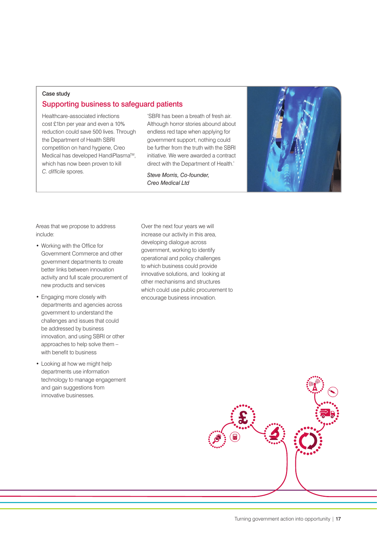# Case study Supporting business to safeguard patients

Healthcare-associated infections cost £1bn per year and even a 10% reduction could save 500 lives. Through the Department of Health SBRI competition on hand hygiene, Creo Medical has developed HandiPlasma™, which has now been proven to kill *C. difficile* spores.

'SBRI has been a breath of fresh air. Although horror stories abound about endless red tape when applying for government support, nothing could be further from the truth with the SBRI initiative. We were awarded a contract direct with the Department of Health.'

*Steve Morris, Co-founder, Creo Medical Ltd*



Areas that we propose to address include:

- Working with the Office for Government Commerce and other government departments to create better links between innovation activity and full scale procurement of new products and services
- Engaging more closely with departments and agencies across government to understand the challenges and issues that could be addressed by business innovation, and using SBRI or other approaches to help solve them – with benefit to business
- Looking at how we might help departments use information technology to manage engagement and gain suggestions from innovative businesses.

Over the next four years we will increase our activity in this area, developing dialogue across government, working to identify operational and policy challenges to which business could provide innovative solutions, and looking at other mechanisms and structures which could use public procurement to encourage business innovation.

**£**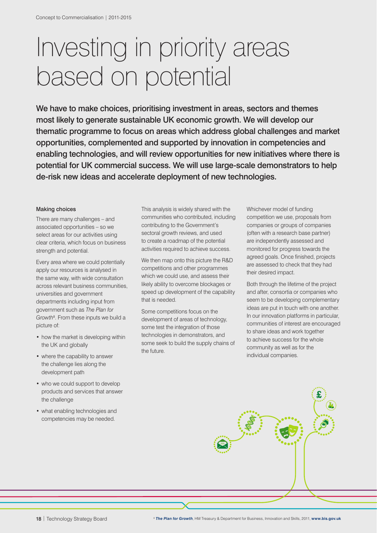# Investing in priority areas based on potential

We have to make choices, prioritising investment in areas, sectors and themes most likely to generate sustainable UK economic growth. We will develop our thematic programme to focus on areas which address global challenges and market opportunities, complemented and supported by innovation in competencies and enabling technologies, and will review opportunities for new initiatives where there is potential for UK commercial success. We will use large-scale demonstrators to help de-risk new ideas and accelerate deployment of new technologies.

#### Making choices

There are many challenges – and associated opportunities – so we select areas for our activities using clear criteria, which focus on business strength and potential.

Every area where we could potentially apply our resources is analysed in the same way, with wide consultation across relevant business communities, universities and government departments including input from government such as *The Plan for*  Growth<sup>8</sup>. From these inputs we build a picture of:

- how the market is developing within the UK and globally
- where the capability to answer the challenge lies along the development path
- who we could support to develop products and services that answer the challenge
- what enabling technologies and competencies may be needed.

This analysis is widely shared with the communities who contributed, including contributing to the Government's sectoral growth reviews, and used to create a roadmap of the potential activities required to achieve success.

We then map onto this picture the R&D competitions and other programmes which we could use, and assess their likely ability to overcome blockages or speed up development of the capability that is needed.

Some competitions focus on the development of areas of technology, some test the integration of those technologies in demonstrators, and some seek to build the supply chains of the future.

Whichever model of funding competition we use, proposals from companies or groups of companies (often with a research base partner) are independently assessed and monitored for progress towards the agreed goals. Once finished, projects are assessed to check that they had their desired impact.

Both through the lifetime of the project and after, consortia or companies who seem to be developing complementary ideas are put in touch with one another. In our innovation platforms in particular, communities of interest are encouraged to share ideas and work together to achieve success for the whole community as well as for the individual companies.

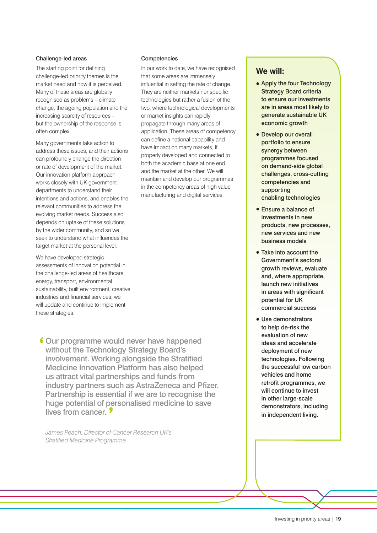#### Challenge-led areas

The starting point for defining challenge-led priority themes is the market need and how it is perceived. Many of these areas are globally recognised as problems – climate change, the ageing population and the increasing scarcity of resources – but the ownership of the response is often complex.

Many governments take action to address these issues, and their actions can profoundly change the direction or rate of development of the market. Our innovation platform approach works closely with UK government departments to understand their intentions and actions, and enables the relevant communities to address the evolving market needs. Success also depends on uptake of these solutions by the wider community, and so we seek to understand what influences the target market at the personal level.

We have developed strategic assessments of innovation potential in the challenge-led areas of healthcare, energy, transport, environmental sustainability, built environment, creative industries and financial services; we will update and continue to implement these strategies.

Competencies

In our work to date, we have recognised that some areas are immensely influential in setting the rate of change. They are neither markets nor specific technologies but rather a fusion of the two, where technological developments or market insights can rapidly propagate through many areas of application. These areas of competency can define a national capability and have impact on many markets, if properly developed and connected to both the academic base at one end and the market at the other. We will maintain and develop our programmes in the competency areas of high value manufacturing and digital services.

Our programme would never have happened without the Technology Strategy Board's involvement. Working alongside the Stratified Medicine Innovation Platform has also helped us attract vital partnerships and funds from industry partners such as AstraZeneca and Pfizer. Partnership is essential if we are to recognise the huge potential of personalised medicine to save lives from cancer.

*James Peach, Director of Cancer Research UK's Stratified Medicine Programme*

### **We will:**

- Apply the four Technology Strategy Board criteria to ensure our investments are in areas most likely to generate sustainable UK economic growth
- Develop our overall portfolio to ensure synergy between programmes focused on demand-side global challenges, cross-cutting competencies and supporting enabling technologies
- Ensure a balance of investments in new products, new processes, new services and new business models
- Take into account the Government's sectoral growth reviews, evaluate and, where appropriate, launch new initiatives in areas with significant potential for UK commercial success
- Use demonstrators to help de-risk the evaluation of new ideas and accelerate deployment of new technologies. Following the successful low carbon vehicles and home retrofit programmes, we will continue to invest in other large-scale demonstrators, including in independent living.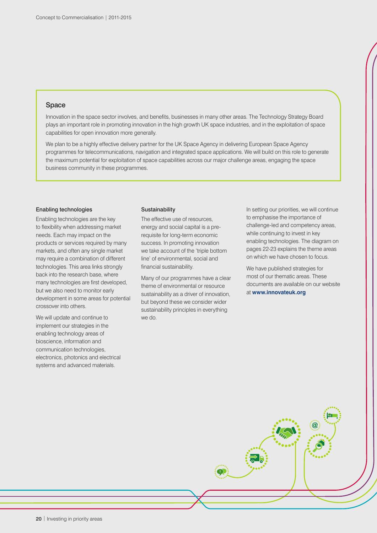#### Space

Innovation in the space sector involves, and benefits, businesses in many other areas. The Technology Strategy Board plays an important role in promoting innovation in the high growth UK space industries, and in the exploitation of space capabilities for open innovation more generally.

We plan to be a highly effective delivery partner for the UK Space Agency in delivering European Space Agency programmes for telecommunications, navigation and integrated space applications. We will build on this role to generate the maximum potential for exploitation of space capabilities across our major challenge areas, engaging the space business community in these programmes.

#### Enabling technologies

Enabling technologies are the key to flexibility when addressing market needs. Each may impact on the products or services required by many markets, and often any single market may require a combination of different technologies. This area links strongly back into the research base, where many technologies are first developed, but we also need to monitor early development in some areas for potential crossover into others.

We will update and continue to implement our strategies in the enabling technology areas of bioscience, information and communication technologies, electronics, photonics and electrical systems and advanced materials.

#### **Sustainability**

The effective use of resources, energy and social capital is a prerequisite for long-term economic success. In promoting innovation we take account of the 'triple bottom line' of environmental, social and financial sustainability.

Many of our programmes have a clear theme of environmental or resource sustainability as a driver of innovation, but beyond these we consider wider sustainability principles in everything we do.

In setting our priorities, we will continue to emphasise the importance of challenge-led and competency areas, while continuing to invest in key enabling technologies. The diagram on pages 22-23 explains the theme areas on which we have chosen to focus.

We have published strategies for most of our thematic areas. These documents are available on our website at **[www.innovateuk.org](http://www.innovateuk.org/)**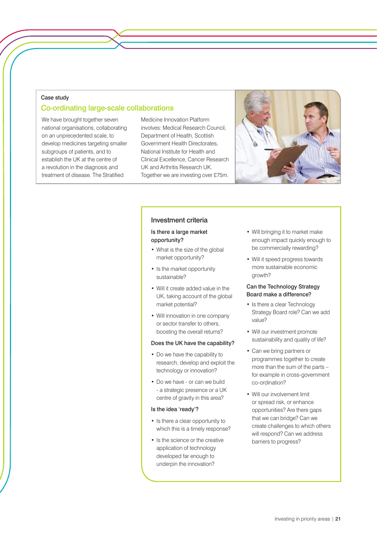#### Case study

# Co-ordinating large-scale collaborations

We have brought together seven national organisations, collaborating on an unprecedented scale, to develop medicines targeting smaller subgroups of patients, and to establish the UK at the centre of a revolution in the diagnosis and treatment of disease. The Stratified

Medicine Innovation Platform involves: Medical Research Council, Department of Health, Scottish Government Health Directorates, National Institute for Health and Clinical Excellence, Cancer Research UK and Arthritis Research UK. Together we are investing over £75m.



#### Investment criteria

#### Is there a large market opportunity?

- What is the size of the global market opportunity?
- Is the market opportunity sustainable?
- Will it create added value in the UK, taking account of the global market potential?
- Will innovation in one company or sector transfer to others, boosting the overall returns?

#### Does the UK have the capability?

- Do we have the capability to research, develop and exploit the technology or innovation?
- Do we have or can we build - a strategic presence or a UK centre of gravity in this area?

#### Is the idea 'ready'?

- Is there a clear opportunity to which this is a timely response?
- Is the science or the creative application of technology developed far enough to underpin the innovation?
- Will bringing it to market make enough impact quickly enough to be commercially rewarding?
- Will it speed progress towards more sustainable economic growth?

#### Can the Technology Strategy Board make a difference?

- Is there a clear Technology Strategy Board role? Can we add value?
- Will our investment promote sustainability and quality of life?
- Can we bring partners or programmes together to create more than the sum of the parts – for example in cross-government co-ordination?
- Will our involvement limit or spread risk, or enhance opportunities? Are there gaps that we can bridge? Can we create challenges to which others will respond? Can we address barriers to progress?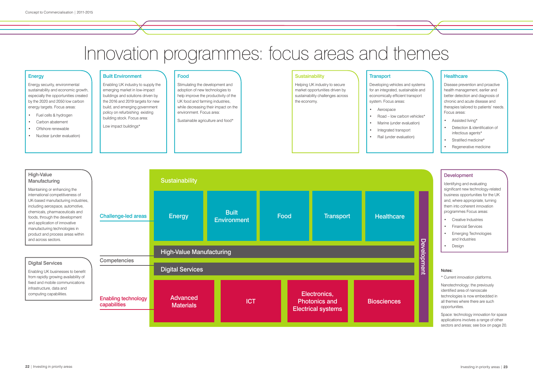#### Notes:

\* Current innovation platforms.

Nanotechnology: the previously identified area of nanoscale technologies is now embedded in all themes where there are such opportunities.

Space: technology innovation for space applications involves a range of other sectors and areas; see box on page 20.

# Innovation programmes: focus areas and themes

# **Energy**

Energy security, environmental sustainability and economic growth, especially the opportunities created by the 2020 and 2050 low carbon energy targets. Focus areas:

- Fuel cells & hydrogen
- Carbon abatement
- Offshore renewable
- Nuclear (under evaluation)

Built Environment

Enabling UK industry to supply the emerging market in low-impact buildings and solutions driven by the 2016 and 2019 targets for new build, and emerging government policy on refurbishing existing building stock. Focus area:

Low impact buildings\*

#### Food

Stimulating the development and adoption of new technologies to help improve the productivity of the UK food and farming industries, while decreasing their impact on the environment. Focus area:

Sustainable agriculture and food\*

#### **Sustainability**

Developing vehicles and systems for an integrated, sustainable and economically efficient transport system. Focus areas:



- Road low carbon vehicles\*
- Marine (under evaluation)
- Integrated transport
	-

### **Healthcare**

- Aerospace
- 
- 
- Rail (under evaluation)

Disease prevention and proactive health management, earlier and better detection and diagnosis of chronic and acute disease and therapies tailored to patients' needs. Focus areas:

- Assisted living\*
- Detection & identification of infectious agents\*
- Stratified medicine\*
- Regenerative medicine

### **Development**

Identifying and evaluating significant new technology-related business opportunities for the UK and, where appropriate, turning them into coherent innovation programmes Focus areas:

- Creative Industries
- Financial Services
- Emerging Technologies and Industries
- Design

Helping UK industry to secure market opportunities driven by sustainability challenges across the economy.

### **Transport**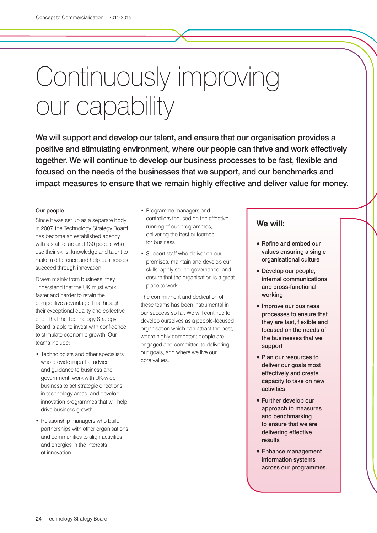# Continuously improving our capability

We will support and develop our talent, and ensure that our organisation provides a positive and stimulating environment, where our people can thrive and work effectively together. We will continue to develop our business processes to be fast, flexible and focused on the needs of the businesses that we support, and our benchmarks and impact measures to ensure that we remain highly effective and deliver value for money.

#### Our people

Since it was set up as a separate body in 2007, the Technology Strategy Board has become an established agency with a staff of around 130 people who use their skills, knowledge and talent to make a difference and help businesses succeed through innovation.

Drawn mainly from business, they understand that the UK must work faster and harder to retain the competitive advantage. It is through their exceptional quality and collective effort that the Technology Strategy Board is able to invest with confidence to stimulate economic growth. Our teams include:

- Technologists and other specialists who provide impartial advice and guidance to business and government, work with UK-wide business to set strategic directions in technology areas, and develop innovation programmes that will help drive business growth
- Relationship managers who build partnerships with other organisations and communities to align activities and energies in the interests of innovation
- Programme managers and controllers focused on the effective running of our programmes, delivering the best outcomes for business
- Support staff who deliver on our promises, maintain and develop our skills, apply sound governance, and ensure that the organisation is a great place to work.

The commitment and dedication of these teams has been instrumental in our success so far. We will continue to develop ourselves as a people-focused organisation which can attract the best, where highly competent people are engaged and committed to delivering our goals, and where we live our core values.

### **We will:**

- Refine and embed our values ensuring a single organisational culture
- Develop our people, internal communications and cross-functional working
- Improve our business processes to ensure that they are fast, flexible and focused on the needs of the businesses that we support
- Plan our resources to deliver our goals most effectively and create capacity to take on new activities
- Further develop our approach to measures and benchmarking to ensure that we are delivering effective results
- Enhance management information systems across our programmes.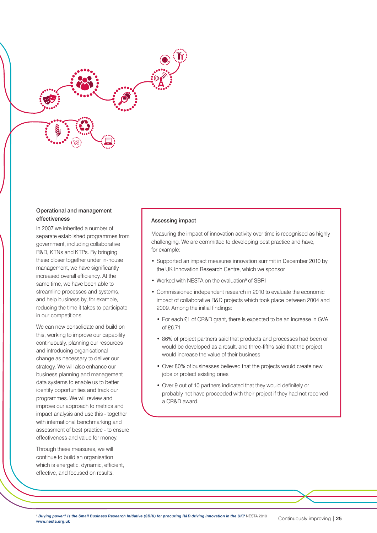

#### Operational and management effectiveness

In 2007 we inherited a number of separate established programmes from government, including collaborative R&D, KTNs and KTPs. By bringing these closer together under in-house management, we have significantly increased overall efficiency. At the same time, we have been able to streamline processes and systems, and help business by, for example, reducing the time it takes to participate in our competitions.

We can now consolidate and build on this, working to improve our capability continuously, planning our resources and introducing organisational change as necessary to deliver our strategy. We will also enhance our business planning and management data systems to enable us to better identify opportunities and track our programmes. We will review and improve our approach to metrics and impact analysis and use this - together with international benchmarking and assessment of best practice - to ensure effectiveness and value for money.

Through these measures, we will continue to build an organisation which is energetic, dynamic, efficient, effective, and focused on results.

#### Assessing impact

Measuring the impact of innovation activity over time is recognised as highly challenging. We are committed to developing best practice and have, for example:

- Supported an impact measures innovation summit in December 2010 by the UK Innovation Research Centre, which we sponsor
- Worked with NESTA on the evaluation<sup>9</sup> of SBRI
- Commissioned independent research in 2010 to evaluate the economic impact of collaborative R&D projects which took place between 2004 and 2009. Among the initial findings:
	- For each £1 of CR&D grant, there is expected to be an increase in GVA of £6.71
	- 86% of project partners said that products and processes had been or would be developed as a result, and three-fifths said that the project would increase the value of their business
	- Over 80% of businesses believed that the projects would create new jobs or protect existing ones
	- Over 9 out of 10 partners indicated that they would definitely or probably not have proceeded with their project if they had not received a CR&D award.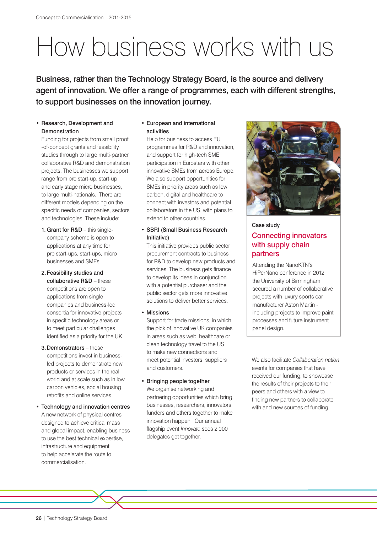# How business works with us

Business, rather than the Technology Strategy Board, is the source and delivery agent of innovation. We offer a range of programmes, each with different strengths, to support businesses on the innovation journey.

#### • Research, Development and Demonstration

Funding for projects from small proof -of-concept grants and feasibility studies through to large multi-partner collaborative R&D and demonstration projects. The businesses we support range from pre start-up, start-up and early stage micro businesses, to large multi-nationals. There are different models depending on the specific needs of companies, sectors and technologies. These include:

1. Grant for R&D - this singlecompany scheme is open to applications at any time for pre start-ups, start-ups, micro businesses and SMEs

#### 2.Feasibility studies and collaborative R&D – these competitions are open to

applications from single companies and business-led consortia for innovative projects in specific technology areas or to meet particular challenges identified as a priority for the UK

#### 3.Demonstrators – these

competitions invest in businessled projects to demonstrate new products or services in the real world and at scale such as in low carbon vehicles, social housing retrofits and online services.

#### • Technology and innovation centres A new network of physical centres

designed to achieve critical mass and global impact, enabling business to use the best technical expertise, infrastructure and equipment to help accelerate the route to commercialisation.

#### • European and international activities

Help for business to access EU programmes for R&D and innovation, and support for high-tech SME participation in Eurostars with other innovative SMEs from across Europe. We also support opportunities for SMEs in priority areas such as low carbon, digital and healthcare to connect with investors and potential collaborators in the US, with plans to extend to other countries.

#### • SBRI (Small Business Research Initiative)

This initiative provides public sector procurement contracts to business for R&D to develop new products and services. The business gets finance to develop its ideas in conjunction with a potential purchaser and the public sector gets more innovative solutions to deliver better services.

• Missions

Support for trade missions, in which the pick of innovative UK companies in areas such as web, healthcare or clean technology travel to the US to make new connections and meet potential investors, suppliers and customers.

#### • Bringing people together

We organIse networking and partnering opportunities which bring businesses, researchers, innovators, funders and others together to make innovation happen. Our annual flagship event *Innovate* sees 2,000 delegates get together.



# Case study Connecting innovators with supply chain partners

Attending the NanoKTN's HiPerNano conference in 2012, the University of Birmingham secured a number of collaborative projects with luxury sports car manufacturer Aston Martin including projects to improve paint processes and future instrument panel design.

We also facilitate *Collaboration nation*  events for companies that have received our funding, to showcase the results of their projects to their peers and others with a view to finding new partners to collaborate with and new sources of funding.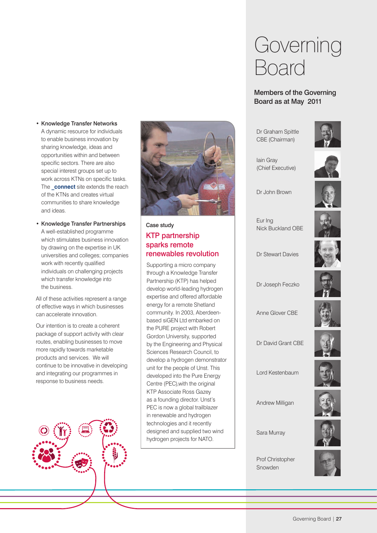- Knowledge Transfer Networks A dynamic resource for individuals to enable business innovation by sharing knowledge, ideas and opportunities within and between specific sectors. There are also special interest groups set up to work across KTNs on specific tasks. The **connect** site extends the reach of the KTNs and creates virtual communities to share knowledge and ideas.
- Knowledge Transfer Partnerships A well-established programme which stimulates business innovation by drawing on the expertise in UK universities and colleges; companies work with recently qualified individuals on challenging projects which transfer knowledge into the business.

All of these activities represent a range of effective ways in which businesses can accelerate innovation.

Our intention is to create a coherent package of support activity with clear routes, enabling businesses to move more rapidly towards marketable products and services. We will continue to be innovative in developing and integrating our programmes in response to business needs.





# Case study KTP partnership sparks remote renewables revolution

Supporting a micro company through a Knowledge Transfer Partnership (KTP) has helped develop world-leading hydrogen expertise and offered affordable energy for a remote Shetland community. In 2003, Aberdeenbased siGEN Ltd embarked on the PURE project with Robert Gordon University, supported by the Engineering and Physical Sciences Research Council, to develop a hydrogen demonstrator unit for the people of Unst. This developed into the Pure Energy Centre (PEC),with the original KTP Associate Ross Gazey as a founding director. Unst's PEC is now a global trailblazer in renewable and hydrogen technologies and it recently designed and supplied two wind hydrogen projects for NATO.

# Governing Board

## Members of the Governing Board as at May 2011

Dr Graham Spittle CBE (Chairman)



Iain Gray (Chief Executive)



Dr John Brown

Eur Ing Nick Buckland OBE



Dr Stewart Davies



Dr Joseph Feczko

Anne Glover CBE



Dr David Grant CBE



Lord Kestenbaum

Andrew Milligan

Sara Murray

Prof Christopher Snowden